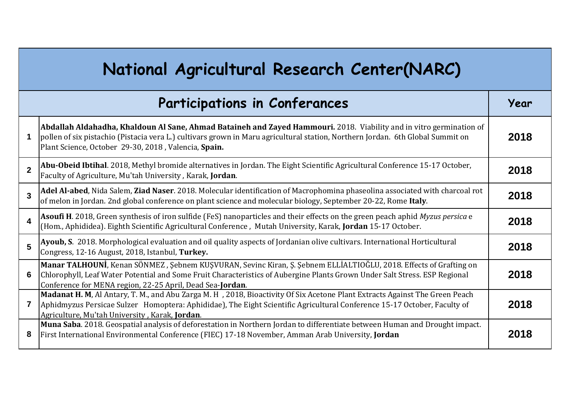| National Agricultural Research Center(NARC) |                                                                                                                                                                                                                                                                                                                |      |
|---------------------------------------------|----------------------------------------------------------------------------------------------------------------------------------------------------------------------------------------------------------------------------------------------------------------------------------------------------------------|------|
|                                             | <b>Participations in Conferances</b>                                                                                                                                                                                                                                                                           | Year |
|                                             | Abdallah Aldahadha, Khaldoun Al Sane, Ahmad Bataineh and Zayed Hammouri. 2018. Viability and in vitro germination of<br>pollen of six pistachio (Pistacia vera L.) cultivars grown in Maru agricultural station, Northern Jordan. 6th Global Summit on<br>Plant Science, October 29-30, 2018, Valencia, Spain. | 2018 |
| $\overline{2}$                              | Abu-Obeid Ibtihal. 2018, Methyl bromide alternatives in Jordan. The Eight Scientific Agricultural Conference 15-17 October,<br>Faculty of Agriculture, Mu'tah University, Karak, Jordan.                                                                                                                       | 2018 |
| $\overline{3}$                              | Adel Al-abed, Nida Salem, Ziad Naser. 2018. Molecular identification of Macrophomina phaseolina associated with charcoal rot<br>of melon in Jordan. 2nd global conference on plant science and molecular biology, September 20-22, Rome Italy.                                                                 | 2018 |
| $\overline{\mathbf{4}}$                     | Asoufi H. 2018, Green synthesis of iron sulfide (FeS) nanoparticles and their effects on the green peach aphid Myzus persica e<br>(Hom., Aphididea). Eighth Scientific Agricultural Conference, Mutah University, Karak, Jordan 15-17 October.                                                                 | 2018 |
| $5\overline{)}$                             | Ayoub, S. 2018. Morphological evaluation and oil quality aspects of Jordanian olive cultivars. International Horticultural<br>Congress, 12-16 August, 2018, Istanbul, Turkey.                                                                                                                                  | 2018 |
| 6                                           | Manar TALHOUNI, Kenan SÖNMEZ, Şebnem KUŞVURAN, Sevinc Kiran, Ş. Şebnem ELLİALTIOĞLU, 2018. Effects of Grafting on<br>Chlorophyll, Leaf Water Potential and Some Fruit Characteristics of Aubergine Plants Grown Under Salt Stress. ESP Regional<br>Conference for MENA region, 22-25 April, Dead Sea-Jordan.   | 2018 |
| $\overline{7}$                              | Madanat H. M, Al Antary, T. M., and Abu Zarga M. H , 2018, Bioactivity Of Six Acetone Plant Extracts Against The Green Peach<br>Aphidmyzus Persicae Sulzer Homoptera: Aphididae), The Eight Scientific Agricultural Conference 15-17 October, Faculty of<br>Agriculture, Mu'tah University, Karak, Jordan.     | 2018 |
| 8                                           | Muna Saba. 2018. Geospatial analysis of deforestation in Northern Jordan to differentiate between Human and Drought impact.<br>First International Environmental Conference (FIEC) 17-18 November, Amman Arab University, Jordan                                                                               | 2018 |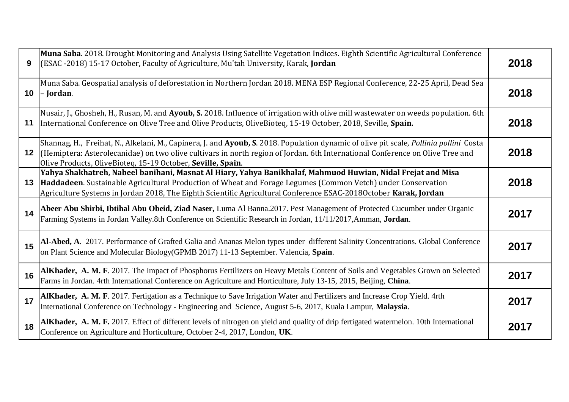| 9  | Muna Saba. 2018. Drought Monitoring and Analysis Using Satellite Vegetation Indices. Eighth Scientific Agricultural Conference<br>(ESAC -2018) 15-17 October, Faculty of Agriculture, Mu'tah University, Karak, Jordan                                                                                                                          | 2018 |
|----|-------------------------------------------------------------------------------------------------------------------------------------------------------------------------------------------------------------------------------------------------------------------------------------------------------------------------------------------------|------|
|    | Muna Saba. Geospatial analysis of deforestation in Northern Jordan 2018. MENA ESP Regional Conference, 22-25 April, Dead Sea<br>$10$  - Jordan.                                                                                                                                                                                                 | 2018 |
| 11 | Nusair, J., Ghosheh, H., Rusan, M. and Ayoub, S. 2018. Influence of irrigation with olive mill wastewater on weeds population. 6th<br>International Conference on Olive Tree and Olive Products, OliveBioteq, 15-19 October, 2018, Seville, Spain.                                                                                              | 2018 |
| 12 | Shannag, H., Freihat, N., Alkelani, M., Capinera, J. and Ayoub, S. 2018. Population dynamic of olive pit scale, Pollinia pollini Costa<br>(Hemiptera: Asterolecanidae) on two olive cultivars in north region of Jordan. 6th International Conference on Olive Tree and<br>Olive Products, OliveBioteq, 15-19 October, Seville, Spain.          | 2018 |
| 13 | Yahya Shakhatreh, Nabeel banihani, Masnat Al Hiary, Yahya Banikhalaf, Mahmuod Huwian, Nidal Frejat and Misa<br>Haddadeen. Sustainable Agricultural Production of Wheat and Forage Legumes (Common Vetch) under Conservation<br>Agriculture Systems in Jordan 2018, The Eighth Scientific Agricultural Conference ESAC-2018October Karak, Jordan | 2018 |
| 14 | Abeer Abu Shirbi, Ibtihal Abu Obeid, Ziad Naser, Luma Al Banna.2017. Pest Management of Protected Cucumber under Organic<br>Farming Systems in Jordan Valley.8th Conference on Scientific Research in Jordan, 11/11/2017, Amman, Jordan.                                                                                                        | 2017 |
| 15 | Al-Abed, A. 2017. Performance of Grafted Galia and Ananas Melon types under different Salinity Concentrations. Global Conference<br>on Plant Science and Molecular Biology(GPMB 2017) 11-13 September. Valencia, Spain.                                                                                                                         | 2017 |
| 16 | AlKhader, A. M. F. 2017. The Impact of Phosphorus Fertilizers on Heavy Metals Content of Soils and Vegetables Grown on Selected<br>Farms in Jordan. 4rth International Conference on Agriculture and Horticulture, July 13-15, 2015, Beijing, China.                                                                                            | 2017 |
| 17 | AlKhader, A. M. F. 2017. Fertigation as a Technique to Save Irrigation Water and Fertilizers and Increase Crop Yield. 4rth<br>International Conference on Technology - Engineering and Science, August 5-6, 2017, Kuala Lampur, Malaysia.                                                                                                       | 2017 |
| 18 | AIKhader, A. M. F. 2017. Effect of different levels of nitrogen on yield and quality of drip fertigated watermelon. 10th International<br>Conference on Agriculture and Horticulture, October 2-4, 2017, London, UK.                                                                                                                            | 2017 |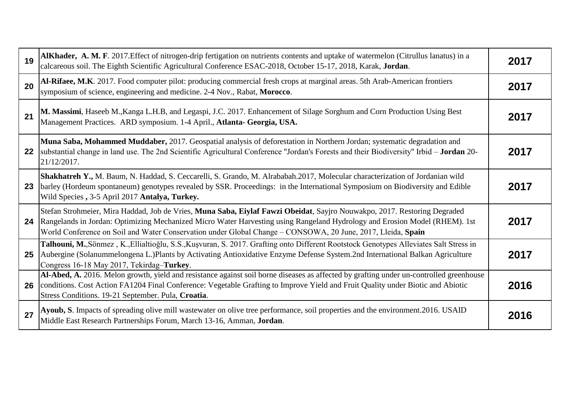| 19 | AlKhader, A. M. F. 2017. Effect of nitrogen-drip fertigation on nutrients contents and uptake of watermelon (Citrullus lanatus) in a<br>calcareous soil. The Eighth Scientific Agricultural Conference ESAC-2018, October 15-17, 2018, Karak, Jordan.                                                                                                                 | 2017 |
|----|-----------------------------------------------------------------------------------------------------------------------------------------------------------------------------------------------------------------------------------------------------------------------------------------------------------------------------------------------------------------------|------|
| 20 | Al-Rifaee, M.K. 2017. Food computer pilot: producing commercial fresh crops at marginal areas. 5th Arab-American frontiers<br>symposium of science, engineering and medicine. 2-4 Nov., Rabat, Morocco.                                                                                                                                                               | 2017 |
| 21 | M. Massimi, Haseeb M., Kanga L.H.B, and Legaspi, J.C. 2017. Enhancement of Silage Sorghum and Corn Production Using Best<br>Management Practices. ARD symposium. 1-4 April., Atlanta- Georgia, USA.                                                                                                                                                                   | 2017 |
| 22 | Muna Saba, Mohammed Muddaber, 2017. Geospatial analysis of deforestation in Northern Jordan; systematic degradation and<br>substantial change in land use. The 2nd Scientific Agricultural Conference "Jordan's Forests and their Biodiversity" Irbid - Jordan 20-<br>21/12/2017.                                                                                     | 2017 |
| 23 | Shakhatreh Y., M. Baum, N. Haddad, S. Ceccarelli, S. Grando, M. Alrababah.2017, Molecular characterization of Jordanian wild<br>barley (Hordeum spontaneum) genotypes revealed by SSR. Proceedings: in the International Symposium on Biodiversity and Edible<br>Wild Species, 3-5 April 2017 Antalya, Turkey.                                                        | 2017 |
| 24 | Stefan Strohmeier, Mira Haddad, Job de Vries, Muna Saba, Eiylaf Fawzi Obeidat, Sayjro Nouwakpo, 2017. Restoring Degraded<br>Rangelands in Jordan: Optimizing Mechanized Micro Water Harvesting using Rangeland Hydrology and Erosion Model (RHEM). 1st<br>World Conference on Soil and Water Conservation under Global Change - CONSOWA, 20 June, 2017, Lleida, Spain | 2017 |
| 25 | Talhouni, M., Sönmez, K., Ellialtioğlu, S.S., Kuşvuran, S. 2017. Grafting onto Different Rootstock Genotypes Alleviates Salt Stress in<br>Aubergine (Solanummelongena L.)Plants by Activating Antioxidative Enzyme Defense System.2nd International Balkan Agriculture<br>Congress 16-18 May 2017, Tekirdag-Turkey.                                                   | 2017 |
| 26 | Al-Abed, A. 2016. Melon growth, yield and resistance against soil borne diseases as affected by grafting under un-controlled greenhouse<br>conditions. Cost Action FA1204 Final Conference: Vegetable Grafting to Improve Yield and Fruit Quality under Biotic and Abiotic<br>Stress Conditions. 19-21 September. Pula, Croatia.                                      | 2016 |
| 27 | Ayoub, S. Impacts of spreading olive mill wastewater on olive tree performance, soil properties and the environment.2016. USAID<br>Middle East Research Partnerships Forum, March 13-16, Amman, Jordan.                                                                                                                                                               | 2016 |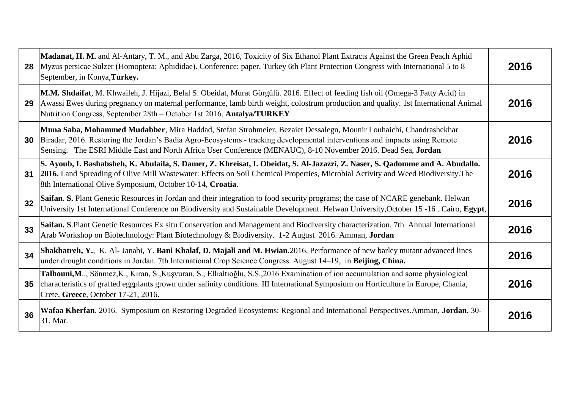| 28 | Madanat, H. M. and Al-Antary, T. M., and Abu Zarga, 2016, Toxicity of Six Ethanol Plant Extracts Against the Green Peach Aphid<br>Myzus persicae Sulzer (Homoptera: Aphididae). Conference: paper, Turkey 6th Plant Protection Congress with International 5 to 8<br>September, in Konya, Turkey.                                                                 | 2016 |
|----|-------------------------------------------------------------------------------------------------------------------------------------------------------------------------------------------------------------------------------------------------------------------------------------------------------------------------------------------------------------------|------|
| 29 | M.M. Shdaifat, M. Khwaileh, J. Hijazi, Belal S. Obeidat, Murat Görgülü. 2016. Effect of feeding fish oil (Omega-3 Fatty Acid) in<br>Awassi Ewes during pregnancy on maternal performance, lamb birth weight, colostrum production and quality. 1st International Animal<br>Nutrition Congress, September 28th - October 1st 2016, Antalya/TURKEY                  | 2016 |
| 30 | Muna Saba, Mohammed Mudabber, Mira Haddad, Stefan Strohmeier, Bezaiet Dessalegn, Mounir Louhaichi, Chandrashekhar<br>Biradar, 2016. Restoring the Jordan's Badia Agro-Ecosystems - tracking developmental interventions and impacts using Remote<br>Sensing. The ESRI Middle East and North Africa User Conference (MENAUC), 8-10 November 2016. Dead Sea, Jordan | 2016 |
| 31 | S. Ayoub, I. Bashabsheh, K. Abulaila, S. Damer, Z. Khreisat, I. Obeidat, S. Al-Jazazzi, Z. Naser, S. Qadomme and A. Abudallo.<br>[2016. Land Spreading of Olive Mill Wastewater: Effects on Soil Chemical Properties, Microbial Activity and Weed Biodiversity. The<br>8th International Olive Symposium, October 10-14, Croatia.                                 | 2016 |
| 32 | Saifan. S. Plant Genetic Resources in Jordan and their integration to food security programs; the case of NCARE genebank. Helwan<br>University 1st International Conference on Biodiversity and Sustainable Development. Helwan University, October 15 -16. Cairo, Egypt,                                                                                         | 2016 |
| 33 | Saifan. S.Plant Genetic Resources Ex situ Conservation and Management and Biodiversity characterization. 7th Annual International<br>Arab Workshop on Biotechnology: Plant Biotechnology & Biodiversity. 1-2 August 2016. Amman, Jordan                                                                                                                           | 2016 |
| 34 | Shakhatreh, Y., K. Al- Janabi, Y. Bani Khalaf, D. Majali and M. Hwian.2016, Performance of new barley mutant advanced lines under drought conditions in Jordan. 7th International Crop Science Congress August 14–19, in Beiji                                                                                                                                    | 2016 |
| 35 | Talhouni,M, Sönmez,K., Kıran, S.,Kuşvuran, S., Ellialtioğlu, S.S.,2016 Examination of ion accumulation and some physiological<br>characteristics of grafted eggplants grown under salinity conditions. III International Symposium on Horticulture in Europe, Chania,<br>Crete, Greece, October 17-21, 2016.                                                      | 2016 |
| 36 | Wafaa Kherfan. 2016. Symposium on Restoring Degraded Ecosystems: Regional and International Perspectives.Amman, Jordan, 30-<br>31. Mar.                                                                                                                                                                                                                           | 2016 |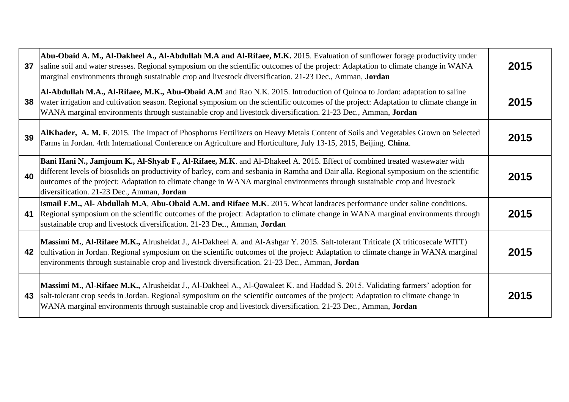| 37 | Abu-Obaid A. M., Al-Dakheel A., Al-Abdullah M.A and Al-Rifaee, M.K. 2015. Evaluation of sunflower forage productivity under<br>saline soil and water stresses. Regional symposium on the scientific outcomes of the project: Adaptation to climate change in WANA<br>marginal environments through sustainable crop and livestock diversification. 21-23 Dec., Amman, Jordan                                                                      | 2015 |
|----|---------------------------------------------------------------------------------------------------------------------------------------------------------------------------------------------------------------------------------------------------------------------------------------------------------------------------------------------------------------------------------------------------------------------------------------------------|------|
| 38 | Al-Abdullah M.A., Al-Rifaee, M.K., Abu-Obaid A.M and Rao N.K. 2015. Introduction of Quinoa to Jordan: adaptation to saline<br>water irrigation and cultivation season. Regional symposium on the scientific outcomes of the project: Adaptation to climate change in<br>WANA marginal environments through sustainable crop and livestock diversification. 21-23 Dec., Amman, Jordan                                                              | 2015 |
| 39 | AlKhader, A. M. F. 2015. The Impact of Phosphorus Fertilizers on Heavy Metals Content of Soils and Vegetables Grown on Selected<br>Farms in Jordan. 4rth International Conference on Agriculture and Horticulture, July 13-15, 2015, Beijing, China.                                                                                                                                                                                              | 2015 |
| 40 | Bani Hani N., Jamjoum K., Al-Shyab F., Al-Rifaee, M.K. and Al-Dhakeel A. 2015. Effect of combined treated wastewater with<br>different levels of biosolids on productivity of barley, corn and sesbania in Ramtha and Dair alla. Regional symposium on the scientific<br>outcomes of the project: Adaptation to climate change in WANA marginal environments through sustainable crop and livestock<br>diversification. 21-23 Dec., Amman, Jordan | 2015 |
| 41 | Ismail F.M., Al- Abdullah M.A, Abu-Obaid A.M. and Rifaee M.K. 2015. Wheat landraces performance under saline conditions.<br>Regional symposium on the scientific outcomes of the project: Adaptation to climate change in WANA marginal environments through<br>sustainable crop and livestock diversification. 21-23 Dec., Amman, Jordan                                                                                                         | 2015 |
| 42 | Massimi M., Al-Rifaee M.K., Alrusheidat J., Al-Dakheel A. and Al-Ashgar Y. 2015. Salt-tolerant Triticale (X triticosecale WITT)<br>cultivation in Jordan. Regional symposium on the scientific outcomes of the project: Adaptation to climate change in WANA marginal<br>environments through sustainable crop and livestock diversification. 21-23 Dec., Amman, <b>Jordan</b>                                                                    | 2015 |
| 43 | Massimi M., Al-Rifaee M.K., Alrusheidat J., Al-Dakheel A., Al-Qawaleet K. and Haddad S. 2015. Validating farmers' adoption for<br>salt-tolerant crop seeds in Jordan. Regional symposium on the scientific outcomes of the project: Adaptation to climate change in<br>WANA marginal environments through sustainable crop and livestock diversification. 21-23 Dec., Amman, Jordan                                                               | 2015 |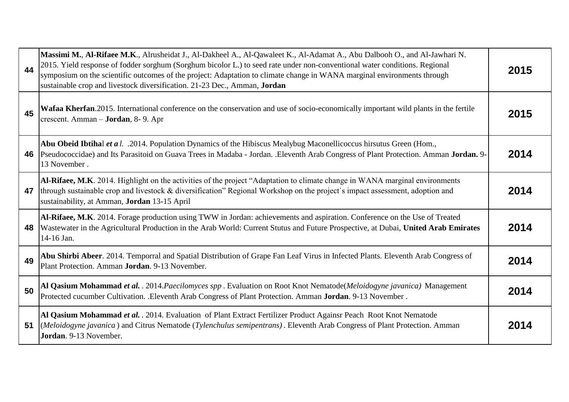| 44 | Massimi M., Al-Rifaee M.K., Alrusheidat J., Al-Dakheel A., Al-Qawaleet K., Al-Adamat A., Abu Dalbooh O., and Al-Jawhari N.<br>2015. Yield response of fodder sorghum (Sorghum bicolor L.) to seed rate under non-conventional water conditions. Regional<br>symposium on the scientific outcomes of the project: Adaptation to climate change in WANA marginal environments through<br>sustainable crop and livestock diversification. 21-23 Dec., Amman, Jordan | 2015 |
|----|------------------------------------------------------------------------------------------------------------------------------------------------------------------------------------------------------------------------------------------------------------------------------------------------------------------------------------------------------------------------------------------------------------------------------------------------------------------|------|
| 45 | Wafaa Kherfan. 2015. International conference on the conservation and use of socio-economically important wild plants in the fertile<br>crescent. Amman - <b>Jordan</b> , 8-9. Apr                                                                                                                                                                                                                                                                               | 2015 |
| 46 | Abu Obeid Ibtihal et a l. .2014. Population Dynamics of the Hibiscus Mealybug Maconellicoccus hirsutus Green (Hom.,<br>Pseudococcidae) and Its Parasitoid on Guava Trees in Madaba - Jordan. .Eleventh Arab Congress of Plant Protection. Amman Jordan. 9-<br>13 November.                                                                                                                                                                                       | 2014 |
| 47 | Al-Rifaee, M.K. 2014. Highlight on the activities of the project "Adaptation to climate change in WANA marginal environments<br>through sustainable crop and livestock & diversification" Regional Workshop on the project's impact assessment, adoption and<br>sustainability, at Amman, Jordan 13-15 April                                                                                                                                                     | 2014 |
| 48 | Al-Rifaee, M.K. 2014. Forage production using TWW in Jordan: achievements and aspiration. Conference on the Use of Treated<br>Wastewater in the Agricultural Production in the Arab World: Current Stutus and Future Prospective, at Dubai, United Arab Emirates<br>14-16 Jan.                                                                                                                                                                                   | 2014 |
| 49 | Abu Shirbi Abeer. 2014. Temporral and Spatial Distribution of Grape Fan Leaf Virus in Infected Plants. Eleventh Arab Congress of<br>Plant Protection. Amman Jordan. 9-13 November.                                                                                                                                                                                                                                                                               | 2014 |
| 50 | Al Qasium Mohammad et al. . 2014. Paecilomyces spp. Evaluation on Root Knot Nematode(Meloidogyne javanica) Management<br>Protected cucumber Cultivation. .Eleventh Arab Congress of Plant Protection. Amman Jordan. 9-13 November.                                                                                                                                                                                                                               | 2014 |
| 51 | Al Qasium Mohammad et al. . 2014. Evaluation of Plant Extract Fertilizer Product Againsr Peach Root Knot Nematode<br>(Meloidogyne javanica) and Citrus Nematode (Tylenchulus semipentrans). Eleventh Arab Congress of Plant Protection. Amman<br>Jordan. 9-13 November.                                                                                                                                                                                          | 2014 |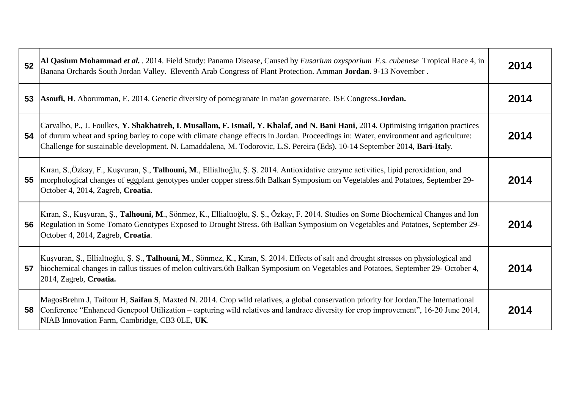| 52 | Al Qasium Mohammad et al. . 2014. Field Study: Panama Disease, Caused by Fusarium oxysporium F.s. cubenese Tropical Race 4, in<br>Banana Orchards South Jordan Valley. Eleventh Arab Congress of Plant Protection. Amman Jordan. 9-13 November.                                                                                                                                                          | 2014 |
|----|----------------------------------------------------------------------------------------------------------------------------------------------------------------------------------------------------------------------------------------------------------------------------------------------------------------------------------------------------------------------------------------------------------|------|
| 53 | Asoufi, H. Aborumman, E. 2014. Genetic diversity of pomegranate in ma'an governarate. ISE Congress. Jordan.                                                                                                                                                                                                                                                                                              | 2014 |
| 54 | Carvalho, P., J. Foulkes, Y. Shakhatreh, I. Musallam, F. Ismail, Y. Khalaf, and N. Bani Hani, 2014. Optimising irrigation practices<br>of durum wheat and spring barley to cope with climate change effects in Jordan. Proceedings in: Water, environment and agriculture:<br>Challenge for sustainable development. N. Lamaddalena, M. Todorovic, L.S. Pereira (Eds). 10-14 September 2014, Bari-Italy. | 2014 |
| 55 | Kıran, S.,Özkay, F., Kuşvuran, Ş., Talhouni, M., Ellialtıoğlu, Ş. Ş. 2014. Antioxidative enzyme activities, lipid peroxidation, and<br>morphological changes of eggplant genotypes under copper stress.6th Balkan Symposium on Vegetables and Potatoes, September 29-<br>October 4, 2014, Zagreb, Croatia.                                                                                               | 2014 |
| 56 | Kıran, S., Kuşvuran, Ş., Talhouni, M., Sönmez, K., Ellialtıoğlu, Ş. Ş., Özkay, F. 2014. Studies on Some Biochemical Changes and Ion<br>Regulation in Some Tomato Genotypes Exposed to Drought Stress. 6th Balkan Symposium on Vegetables and Potatoes, September 29-<br>October 4, 2014, Zagreb, Croatia.                                                                                                | 2014 |
| 57 | Kuşvuran, Ş., Ellialtıoğlu, Ş. Ş., Talhouni, M., Sönmez, K., Kıran, S. 2014. Effects of salt and drought stresses on physiological and<br>biochemical changes in callus tissues of melon cultivars.6th Balkan Symposium on Vegetables and Potatoes, September 29- October 4,<br>2014, Zagreb, Croatia.                                                                                                   | 2014 |
| 58 | MagosBrehm J, Taifour H, Saifan S, Maxted N. 2014. Crop wild relatives, a global conservation priority for Jordan. The International<br>Conference "Enhanced Genepool Utilization – capturing wild relatives and landrace diversity for crop improvement", 16-20 June 2014,<br>NIAB Innovation Farm, Cambridge, CB3 OLE, UK.                                                                             | 2014 |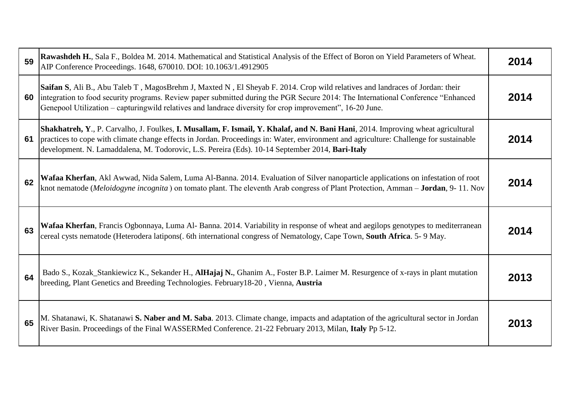| 59 | Rawashdeh H., Sala F., Boldea M. 2014. Mathematical and Statistical Analysis of the Effect of Boron on Yield Parameters of Wheat.<br>AIP Conference Proceedings. 1648, 670010. DOI: 10.1063/1.4912905                                                                                                                                                                         | 2014 |
|----|-------------------------------------------------------------------------------------------------------------------------------------------------------------------------------------------------------------------------------------------------------------------------------------------------------------------------------------------------------------------------------|------|
| 60 | Saifan S, Ali B., Abu Taleb T, MagosBrehm J, Maxted N, El Sheyab F. 2014. Crop wild relatives and landraces of Jordan: their<br>integration to food security programs. Review paper submitted during the PGR Secure 2014: The International Conference "Enhanced"<br>Genepool Utilization – capturingwild relatives and landrace diversity for crop improvement", 16-20 June. | 2014 |
| 61 | Shakhatreh, Y., P. Carvalho, J. Foulkes, I. Musallam, F. Ismail, Y. Khalaf, and N. Bani Hani, 2014. Improving wheat agricultural<br>practices to cope with climate change effects in Jordan. Proceedings in: Water, environment and agriculture: Challenge for sustainable<br>development. N. Lamaddalena, M. Todorovic, L.S. Pereira (Eds). 10-14 September 2014, Bari-Italy | 2014 |
| 62 | Wafaa Kherfan, Akl Awwad, Nida Salem, Luma Al-Banna. 2014. Evaluation of Silver nanoparticle applications on infestation of root<br>knot nematode (Meloidogyne incognita) on tomato plant. The eleventh Arab congress of Plant Protection, Amman - Jordan, 9-11. Nov                                                                                                          | 2014 |
| 63 | Wafaa Kherfan, Francis Ogbonnaya, Luma Al-Banna. 2014. Variability in response of wheat and aegilops genotypes to mediterranean<br>cereal cysts nematode (Heterodera latipons(. 6th international congress of Nematology, Cape Town, South Africa. 5-9 May.                                                                                                                   | 2014 |
| 64 | Bado S., Kozak_Stankiewicz K., Sekander H., AlHajaj N., Ghanim A., Foster B.P. Laimer M. Resurgence of x-rays in plant mutation<br>breeding, Plant Genetics and Breeding Technologies. February18-20, Vienna, Austria                                                                                                                                                         | 2013 |
| 65 | M. Shatanawi, K. Shatanawi S. Naber and M. Saba. 2013. Climate change, impacts and adaptation of the agricultural sector in Jordan<br>River Basin. Proceedings of the Final WASSERMed Conference. 21-22 February 2013, Milan, Italy Pp 5-12.                                                                                                                                  | 2013 |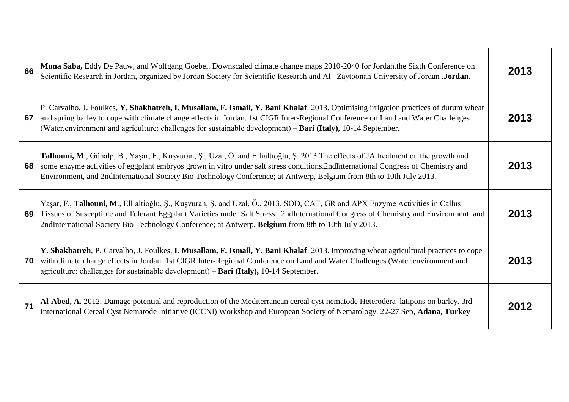| 66 | Muna Saba, Eddy De Pauw, and Wolfgang Goebel. Downscaled climate change maps 2010-2040 for Jordan.the Sixth Conference on<br>Scientific Research in Jordan, organized by Jordan Society for Scientific Research and Al-Zaytoonah University of Jordan. Jordan.                                                                                                                                    | 2013 |
|----|---------------------------------------------------------------------------------------------------------------------------------------------------------------------------------------------------------------------------------------------------------------------------------------------------------------------------------------------------------------------------------------------------|------|
| 67 | P. Carvalho, J. Foulkes, Y. Shakhatreh, I. Musallam, F. Ismail, Y. Bani Khalaf. 2013. Optimising irrigation practices of durum wheat<br>and spring barley to cope with climate change effects in Jordan. 1st CIGR Inter-Regional Conference on Land and Water Challenges<br>(Water, environment and agriculture: challenges for sustainable development) – <b>Bari (Italy)</b> , 10-14 September. | 2013 |
| 68 | Talhouni, M., Günalp, B., Yaşar, F., Kuşvuran, Ş., Uzal, Ö. and Ellialtioğlu, Ş. 2013. The effects of JA treatment on the growth and<br>some enzyme activities of eggplant embryos grown in vitro under salt stress conditions.2ndInternational Congress of Chemistry and<br>Environment, and 2ndInternational Society Bio Technology Conference; at Antwerp, Belgium from 8th to 10th July 2013. | 2013 |
| 69 | Yaşar, F., Talhouni, M., Ellialtioğlu, Ş., Kuşvuran, Ş. and Uzal, Ö., 2013. SOD, CAT, GR and APX Enzyme Activities in Callus<br>Tissues of Susceptible and Tolerant Eggplant Varieties under Salt Stress 2ndInternational Congress of Chemistry and Environment, and<br>2ndInternational Society Bio Technology Conference; at Antwerp, Belgium from 8th to 10th July 2013.                       | 2013 |
| 70 | Y. Shakhatreh, P. Carvalho, J. Foulkes, I. Musallam, F. Ismail, Y. Bani Khalaf. 2013. Improving wheat agricultural practices to cope<br>with climate change effects in Jordan. 1st CIGR Inter-Regional Conference on Land and Water Challenges (Water, environment and<br>agriculture: challenges for sustainable development) – Bari (Italy), 10-14 September.                                   | 2013 |
| 71 | Al-Abed, A. 2012, Damage potential and reproduction of the Mediterranean cereal cyst nematode Heterodera latipons on barley. 3rd<br>International Cereal Cyst Nematode Initiative (ICCNI) Workshop and European Society of Nematology. 22-27 Sep, Adana, Turkey                                                                                                                                   | 2012 |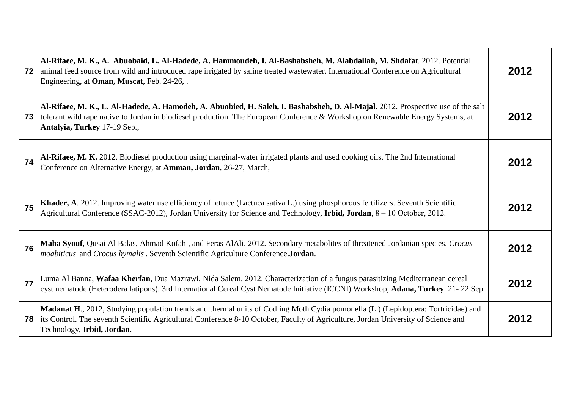| 72 | Al-Rifaee, M. K., A. Abuobaid, L. Al-Hadede, A. Hammoudeh, I. Al-Bashabsheh, M. Alabdallah, M. Shdafat. 2012. Potential<br>animal feed source from wild and introduced rape irrigated by saline treated wastewater. International Conference on Agricultural<br>Engineering, at Oman, Muscat, Feb. 24-26,. | 2012 |
|----|------------------------------------------------------------------------------------------------------------------------------------------------------------------------------------------------------------------------------------------------------------------------------------------------------------|------|
| 73 | Al-Rifaee, M. K., L. Al-Hadede, A. Hamodeh, A. Abuobied, H. Saleh, I. Bashabsheh, D. Al-Majal. 2012. Prospective use of the salt<br>tolerant wild rape native to Jordan in biodiesel production. The European Conference & Workshop on Renewable Energy Systems, at<br>Antalyia, Turkey 17-19 Sep.,        | 2012 |
| 74 | Al-Rifaee, M. K. 2012. Biodiesel production using marginal-water irrigated plants and used cooking oils. The 2nd International<br>Conference on Alternative Energy, at Amman, Jordan, 26-27, March,                                                                                                        | 2012 |
| 75 | Khader, A. 2012. Improving water use efficiency of lettuce (Lactuca sativa L.) using phosphorous fertilizers. Seventh Scientific<br>Agricultural Conference (SSAC-2012), Jordan University for Science and Technology, Irbid, Jordan, 8 - 10 October, 2012.                                                | 2012 |
| 76 | Maha Syouf, Qusai Al Balas, Ahmad Kofahi, and Feras AlAli. 2012. Secondary metabolites of threatened Jordanian species. Crocus<br>moabiticus and Crocus hymalis. Seventh Scientific Agriculture Conference.Jordan.                                                                                         | 2012 |
| 77 | Luma Al Banna, <b>Wafaa Kherfan</b> , Dua Mazrawi, Nida Salem. 2012. Characterization of a fungus parasitizing Mediterranean cereal<br>cyst nematode (Heterodera latipons). 3rd International Cereal Cyst Nematode Initiative (ICCNI) Workshop, Adana, Turkey. 21-22 Sep.                                  | 2012 |
| 78 | Madanat H., 2012, Studying population trends and thermal units of Codling Moth Cydia pomonella (L.) (Lepidoptera: Tortricidae) and<br>lits Control. The seventh Scientific Agricultural Conference 8-10 October, Faculty of Agriculture, Jordan University of Science and<br>Technology, Irbid, Jordan.    | 2012 |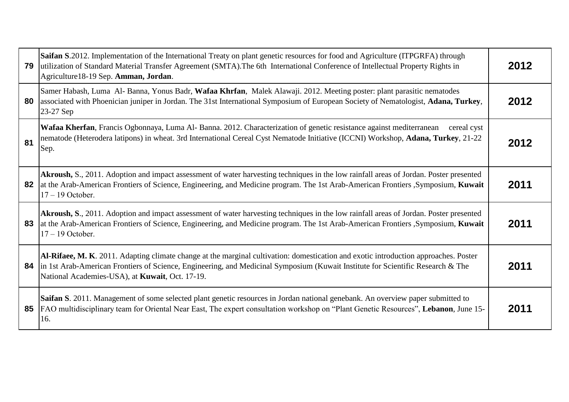| 79 | Saifan S.2012. Implementation of the International Treaty on plant genetic resources for food and Agriculture (ITPGRFA) through<br>utilization of Standard Material Transfer Agreement (SMTA). The 6th International Conference of Intellectual Property Rights in<br>Agriculture18-19 Sep. Amman, Jordan.                 | 2012 |
|----|----------------------------------------------------------------------------------------------------------------------------------------------------------------------------------------------------------------------------------------------------------------------------------------------------------------------------|------|
| 80 | Samer Habash, Luma Al-Banna, Yonus Badr, Wafaa Khrfan, Malek Alawaji. 2012. Meeting poster: plant parasitic nematodes<br>associated with Phoenician juniper in Jordan. The 31st International Symposium of European Society of Nematologist, Adana, Turkey,<br>23-27 Sep                                                   | 2012 |
| 81 | Wafaa Kherfan, Francis Ogbonnaya, Luma Al-Banna. 2012. Characterization of genetic resistance against mediterranean<br>cereal cyst<br>nematode (Heterodera latipons) in wheat. 3rd International Cereal Cyst Nematode Initiative (ICCNI) Workshop, Adana, Turkey, 21-22<br>Sep.                                            | 2012 |
| 82 | Akroush, S., 2011. Adoption and impact assessment of water harvesting techniques in the low rainfall areas of Jordan. Poster presented<br>at the Arab-American Frontiers of Science, Engineering, and Medicine program. The 1st Arab-American Frontiers, Symposium, Kuwait<br>$17 - 19$ October.                           | 2011 |
| 83 | Akroush, S., 2011. Adoption and impact assessment of water harvesting techniques in the low rainfall areas of Jordan. Poster presented<br>at the Arab-American Frontiers of Science, Engineering, and Medicine program. The 1st Arab-American Frontiers, Symposium, Kuwait<br>$17 - 19$ October.                           | 2011 |
| 84 | Al-Rifaee, M. K. 2011. Adapting climate change at the marginal cultivation: domestication and exotic introduction approaches. Poster<br>in 1st Arab-American Frontiers of Science, Engineering, and Medicinal Symposium (Kuwait Institute for Scientific Research & The<br>National Academies-USA), at Kuwait, Oct. 17-19. | 2011 |
| 85 | Saifan S. 2011. Management of some selected plant genetic resources in Jordan national genebank. An overview paper submitted to<br>[FAO multidisciplinary team for Oriental Near East, The expert consultation workshop on "Plant Genetic Resources", Lebanon, June 15-<br>16.                                             | 2011 |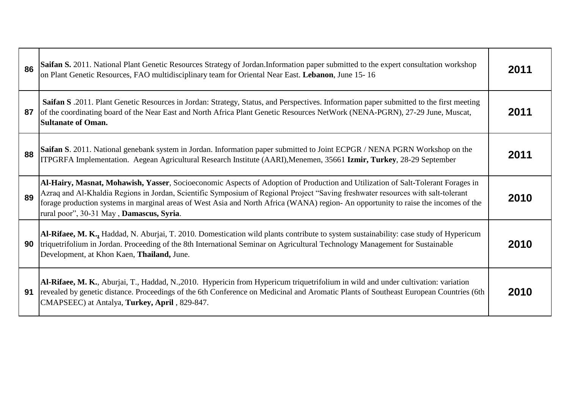| 86 | Saifan S. 2011. National Plant Genetic Resources Strategy of Jordan.Information paper submitted to the expert consultation workshop<br>on Plant Genetic Resources, FAO multidisciplinary team for Oriental Near East. Lebanon, June 15-16                                                                                                                                                                                                              | 2011 |
|----|--------------------------------------------------------------------------------------------------------------------------------------------------------------------------------------------------------------------------------------------------------------------------------------------------------------------------------------------------------------------------------------------------------------------------------------------------------|------|
| 87 | Saifan S. 2011. Plant Genetic Resources in Jordan: Strategy, Status, and Perspectives. Information paper submitted to the first meeting<br>of the coordinating board of the Near East and North Africa Plant Genetic Resources NetWork (NENA-PGRN), 27-29 June, Muscat,<br><b>Sultanate of Oman.</b>                                                                                                                                                   | 2011 |
| 88 | Saifan S. 2011. National genebank system in Jordan. Information paper submitted to Joint ECPGR / NENA PGRN Workshop on the<br>ITPGRFA Implementation. Aegean Agricultural Research Institute (AARI), Menemen, 35661 Izmir, Turkey, 28-29 September                                                                                                                                                                                                     | 2011 |
| 89 | Al-Hairy, Masnat, Mohawish, Yasser, Socioeconomic Aspects of Adoption of Production and Utilization of Salt-Tolerant Forages in<br>Azraq and Al-Khaldia Regions in Jordan, Scientific Symposium of Regional Project "Saving freshwater resources with salt-tolerant<br>forage production systems in marginal areas of West Asia and North Africa (WANA) region- An opportunity to raise the incomes of the<br>rural poor", 30-31 May, Damascus, Syria. | 2010 |
| 90 | Al-Rifaee, M. K., Haddad, N. Aburjai, T. 2010. Domestication wild plants contribute to system sustainability: case study of Hypericum<br>triquetrifolium in Jordan. Proceeding of the 8th International Seminar on Agricultural Technology Management for Sustainable<br>Development, at Khon Kaen, Thailand, June.                                                                                                                                    | 2010 |
| 91 | Al-Rifaee, M. K., Aburjai, T., Haddad, N., 2010. Hypericin from Hypericum triquetrifolium in wild and under cultivation: variation<br>revealed by genetic distance. Proceedings of the 6th Conference on Medicinal and Aromatic Plants of Southeast European Countries (6th<br>CMAPSEEC) at Antalya, Turkey, April, 829-847.                                                                                                                           | 2010 |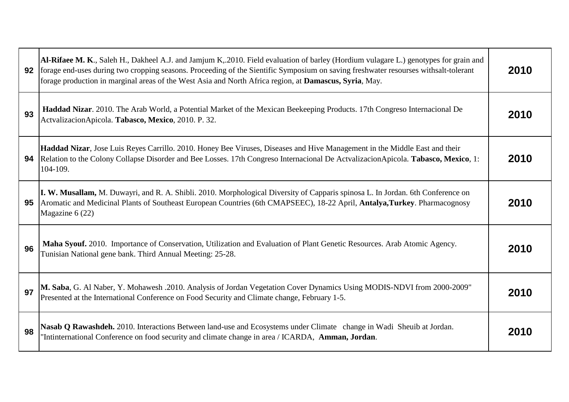| 92 | Al-Rifaee M. K., Saleh H., Dakheel A.J. and Jamjum K, 2010. Field evaluation of barley (Hordium vulagare L.) genotypes for grain and<br>forage end-uses during two cropping seasons. Proceeding of the Sientific Symposium on saving freshwater resourses withsalt-tolerant<br>forage production in marginal areas of the West Asia and North Africa region, at Damascus, Syria, May. | 2010 |
|----|---------------------------------------------------------------------------------------------------------------------------------------------------------------------------------------------------------------------------------------------------------------------------------------------------------------------------------------------------------------------------------------|------|
| 93 | Haddad Nizar. 2010. The Arab World, a Potential Market of the Mexican Beekeeping Products. 17th Congreso Internacional De<br>ActvalizacionApicola. Tabasco, Mexico, 2010. P. 32.                                                                                                                                                                                                      | 2010 |
| 94 | <b>Haddad Nizar</b> , Jose Luis Reyes Carrillo. 2010. Honey Bee Viruses, Diseases and Hive Management in the Middle East and their<br>Relation to the Colony Collapse Disorder and Bee Losses. 17th Congreso Internacional De ActvalizacionApicola. Tabasco, Mexico, 1:<br>104-109.                                                                                                   | 2010 |
| 95 | I. W. Musallam, M. Duwayri, and R. A. Shibli. 2010. Morphological Diversity of Capparis spinosa L. In Jordan. 6th Conference on<br>Aromatic and Medicinal Plants of Southeast European Countries (6th CMAPSEEC), 18-22 April, Antalya, Turkey. Pharmacognosy<br>Magazine 6 (22)                                                                                                       | 2010 |
| 96 | Maha Syouf. 2010. Importance of Conservation, Utilization and Evaluation of Plant Genetic Resources. Arab Atomic Agency.<br>Tunisian National gene bank. Third Annual Meeting: 25-28.                                                                                                                                                                                                 | 2010 |
| 97 | M. Saba, G. Al Naber, Y. Mohawesh .2010. Analysis of Jordan Vegetation Cover Dynamics Using MODIS-NDVI from 2000-2009"<br>Presented at the International Conference on Food Security and Climate change, February 1-5.                                                                                                                                                                | 2010 |
| 98 | Nasab Q Rawashdeh. 2010. Interactions Between land-use and Ecosystems under Climate change in Wadi Sheuib at Jordan.<br>Intinternational Conference on food security and climate change in area / ICARDA, Amman, Jordan.                                                                                                                                                              | 2010 |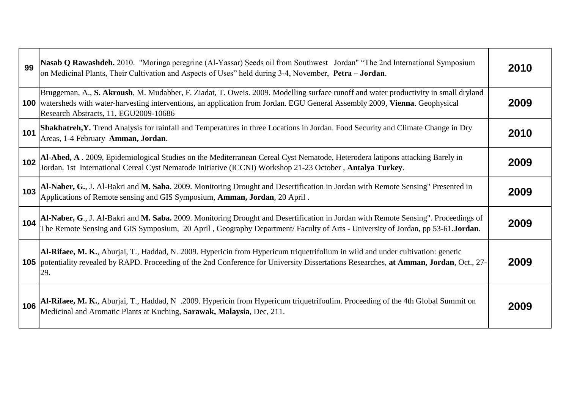| 99  | Nasab Q Rawashdeh. 2010. "Moringa peregrine (Al-Yassar) Seeds oil from Southwest Jordan" "The 2nd International Symposium<br>on Medicinal Plants, Their Cultivation and Aspects of Uses" held during 3-4, November, Petra - Jordan.                                                                                   | 2010 |
|-----|-----------------------------------------------------------------------------------------------------------------------------------------------------------------------------------------------------------------------------------------------------------------------------------------------------------------------|------|
|     | Bruggeman, A., S. Akroush, M. Mudabber, F. Ziadat, T. Oweis. 2009. Modelling surface runoff and water productivity in small dryland<br><b>100</b> watersheds with water-harvesting interventions, an application from Jordan. EGU General Assembly 2009, Vienna. Geophysical<br>Research Abstracts, 11, EGU2009-10686 | 2009 |
| 101 | Shakhatreh, Y. Trend Analysis for rainfall and Temperatures in three Locations in Jordan. Food Security and Climate Change in Dry<br>Areas, 1-4 February Amman, Jordan.                                                                                                                                               | 2010 |
| 102 | Al-Abed, A. 2009, Epidemiological Studies on the Mediterranean Cereal Cyst Nematode, Heterodera latipons attacking Barely in Jordan. 1st International Cereal Cyst Nematode Initiative (ICCNI) Workshop 21-23 October, Antalya                                                                                        | 2009 |
| 103 | Al-Naber, G., J. Al-Bakri and M. Saba. 2009. Monitoring Drought and Desertification in Jordan with Remote Sensing" Presented in Applications of Remote sensing and GIS Symposium, Amman, Jordan, 20 April.                                                                                                            | 2009 |
| 104 | Al-Naber, G., J. Al-Bakri and M. Saba. 2009. Monitoring Drought and Desertification in Jordan with Remote Sensing". Proceedings of The Remote Sensing and GIS Symposium, 20 April, Geography Department/ Faculty of Arts - Uni                                                                                        | 2009 |
|     | Al-Rifaee, M. K., Aburjai, T., Haddad, N. 2009. Hypericin from Hypericum triquetrifolium in wild and under cultivation: genetic<br><b>105</b> potentiality revealed by RAPD. Proceeding of the 2nd Conference for University Dissertations Researches, at Amman, Jordan, Oct., 27-<br>29.                             | 2009 |
| 106 | Al-Rifaee, M. K., Aburjai, T., Haddad, N .2009. Hypericin from Hypericum triquetrifoulim. Proceeding of the 4th Global Summit on<br>Medicinal and Aromatic Plants at Kuching, Sarawak, Malaysia, Dec, 211.                                                                                                            | 2009 |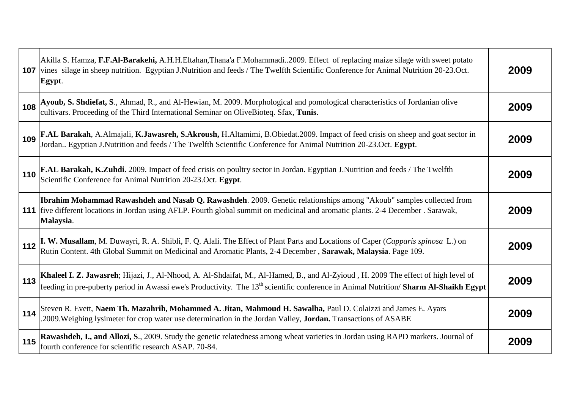| 107 | Akilla S. Hamza, F.F.Al-Barakehi, A.H.H.Eltahan, Thana'a F.Mohammadi2009. Effect of replacing maize silage with sweet potato<br>vines silage in sheep nutrition. Egyptian J.Nutrition and feeds / The Twelfth Scientific Conference for Animal Nutrition 20-23.Oct.<br>Egypt. | 2009 |
|-----|-------------------------------------------------------------------------------------------------------------------------------------------------------------------------------------------------------------------------------------------------------------------------------|------|
| 108 | Ayoub, S. Shdiefat, S., Ahmad, R., and Al-Hewian, M. 2009. Morphological and pomological characteristics of Jordanian olive cultivars. Proceeding of the Third International Seminar on OliveBioteq. Sfax, Tunis.                                                             | 2009 |
| 109 | F.AL Barakah, A.Almajali, K.Jawasreh, S.Akroush, H.Altamimi, B.Obiedat.2009. Impact of feed crisis on sheep and goat sector in Jordan Egyptian J.Nutrition and feeds / The Twelfth Scientific Conference for Animal Nutritio                                                  | 2009 |
| 110 | F.AL Barakah, K.Zuhdi. 2009. Impact of feed crisis on poultry sector in Jordan. Egyptian J.Nutrition and feeds / The Twelfth Scientific Conference for Animal Nutrition 20-23.Oct. Egypt.                                                                                     | 2009 |
|     | Ibrahim Mohammad Rawashdeh and Nasab Q. Rawashdeh. 2009. Genetic relationships among "Akoub" samples collected from<br>111   five different locations in Jordan using AFLP. Fourth global summit on medicinal and aromatic plants. 2-4 December . Sarawak,<br>Malaysia.       | 2009 |
| 112 | I. W. Musallam, M. Duwayri, R. A. Shibli, F. Q. Alali. The Effect of Plant Parts and Locations of Caper (Capparis spinosa L.) on Rutin Content. 4th Global Summit on Medicinal and Aromatic Plants, 2-4 December, Sarawak, Mal                                                | 2009 |
| 113 | Khaleel I. Z. Jawasreh; Hijazi, J., Al-Nhood, A. Al-Shdaifat, M., Al-Hamed, B., and Al-Zyioud, H. 2009 The effect of high level of freeding in pre-puberty period in Awassi ewe's Productivity. The 13 <sup>th</sup> scientific conferen                                      | 2009 |
| 114 | Steven R. Evett, Naem Th. Mazahrih, Mohammed A. Jitan, Mahmoud H. Sawalha, Paul D. Colaizzi and James E. Ayars<br>.2009. Weighing lysimeter for crop water use determination in the Jordan Valley, Jordan. Transactions of ASABE                                              | 2009 |
| 115 | Rawashdeh, I., and Allozi, S., 2009. Study the genetic relatedness among wheat varieties in Jordan using RAPD markers. Journal of<br>fourth conference for scientific research ASAP. 70-84.                                                                                   | 2009 |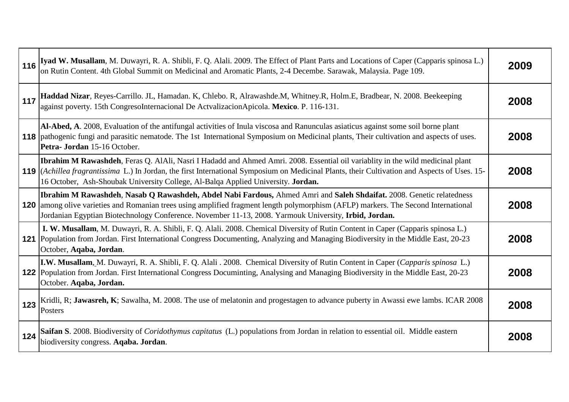| 116 | Iyad W. Musallam, M. Duwayri, R. A. Shibli, F. Q. Alali. 2009. The Effect of Plant Parts and Locations of Caper (Capparis spinosa L.)<br>on Rutin Content. 4th Global Summit on Medicinal and Aromatic Plants, 2-4 Decembe. Sarawak, Malaysia. Page 109.                                                                                                                             | 2009 |
|-----|--------------------------------------------------------------------------------------------------------------------------------------------------------------------------------------------------------------------------------------------------------------------------------------------------------------------------------------------------------------------------------------|------|
| 117 | Haddad Nizar, Reyes-Carrillo. JL, Hamadan. K, Chlebo. R, Alrawashde.M, Whitney.R, Holm.E, Bradbear, N. 2008. Beekeeping<br>against poverty. 15th CongresoInternacional De ActvalizacionApicola. Mexico. P. 116-131.                                                                                                                                                                  | 2008 |
|     | Al-Abed, A. 2008, Evaluation of the antifungal activities of Inula viscosa and Ranunculas asiaticus against some soil borne plant<br>118 pathogenic fungi and parasitic nematode. The 1st International Symposium on Medicinal plants, Their cultivation and aspects of uses.<br>Petra- Jordan 15-16 October.                                                                        | 2008 |
|     | <b>Ibrahim M Rawashdeh</b> , Feras Q. AlAli, Nasri I Hadadd and Ahmed Amri. 2008. Essential oil variablity in the wild medicinal plant<br>119 ( <i>Achillea fragrantissima L.</i> ) In Jordan, the first International Symposium on Medicinal Plants, their Cultivation and Aspects of Uses. 15-<br>16 October, Ash-Shoubak University College, Al-Balqa Applied University. Jordan. | 2008 |
| 120 | Ibrahim M Rawashdeh, Nasab Q Rawashdeh, Abdel Nabi Fardous, Ahmed Amri and Saleh Shdaifat. 2008. Genetic relatedness<br>among olive varieties and Romanian trees using amplified fragment length polymorphism (AFLP) markers. The Second International<br>Jordanian Egyptian Biotechnology Conference. November 11-13, 2008. Yarmouk University, Irbid, Jordan.                      | 2008 |
| 121 | I. W. Musallam, M. Duwayri, R. A. Shibli, F. Q. Alali. 2008. Chemical Diversity of Rutin Content in Caper (Capparis spinosa L.)<br>Population from Jordan. First International Congress Documenting, Analyzing and Managing Biodiversity in the Middle East, 20-23<br>October, Aqaba, Jordan.                                                                                        | 2008 |
|     | I.W. Musallam, M. Duwayri, R. A. Shibli, F. Q. Alali . 2008. Chemical Diversity of Rutin Content in Caper (Capparis spinosa L.)<br>122 Population from Jordan. First International Congress Documinting, Analysing and Managing Biodiversity in the Middle East, 20-23<br>October. Aqaba, Jordan.                                                                                    | 2008 |
| 123 | Kridli, R; Jawasreh, K; Sawalha, M. 2008. The use of melatonin and progestagen to advance puberty in Awassi ewe lambs. ICAR 2008<br>Posters                                                                                                                                                                                                                                          | 2008 |
| 124 | Saifan S. 2008. Biodiversity of Coridothymus capitatus (L.) populations from Jordan in relation to essential oil. Middle eastern<br>biodiversity congress. Agaba. Jordan.                                                                                                                                                                                                            | 2008 |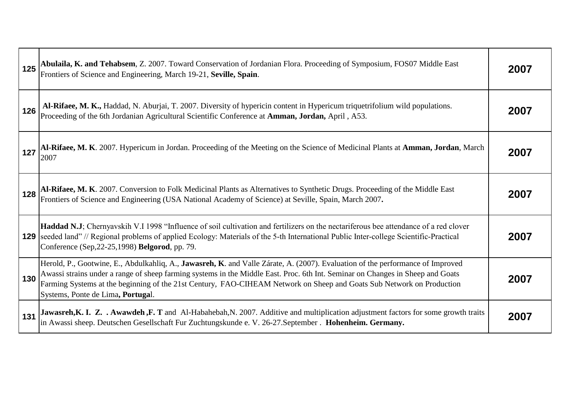| 125 | Abulaila, K. and Tehabsem, Z. 2007. Toward Conservation of Jordanian Flora. Proceeding of Symposium, FOS07 Middle East<br>Frontiers of Science and Engineering, March 19-21, Seville, Spain.                                                                                                                                                                                                                                   | 2007 |
|-----|--------------------------------------------------------------------------------------------------------------------------------------------------------------------------------------------------------------------------------------------------------------------------------------------------------------------------------------------------------------------------------------------------------------------------------|------|
| 126 | Al-Rifaee, M. K., Haddad, N. Aburjai, T. 2007. Diversity of hypericin content in Hypericum triquetrifolium wild populations.<br>Proceeding of the 6th Jordanian Agricultural Scientific Conference at Amman, Jordan, April, A53.                                                                                                                                                                                               | 2007 |
| 127 | Al-Rifaee, M. K. 2007. Hypericum in Jordan. Proceeding of the Meeting on the Science of Medicinal Plants at Amman, Jordan, March<br>2007                                                                                                                                                                                                                                                                                       | 2007 |
| 128 | Al-Rifaee, M. K. 2007. Conversion to Folk Medicinal Plants as Alternatives to Synthetic Drugs. Proceeding of the Middle East<br>Frontiers of Science and Engineering (USA National Academy of Science) at Seville, Spain, March 2                                                                                                                                                                                              | 2007 |
|     | Haddad N.J; Chernyavskih V.I 1998 "Influence of soil cultivation and fertilizers on the nectariferous bee attendance of a red clover<br><b>129</b> Seeded land" // Regional problems of applied Ecology: Materials of the 5-th International Public Inter-college Scientific-Practical<br>Conference (Sep, 22-25, 1998) Belgorod, pp. 79.                                                                                      | 2007 |
| 130 | Herold, P., Gootwine, E., Abdulkahliq, A., Jawasreh, K. and Valle Zárate, A. (2007). Evaluation of the performance of Improved<br>Awassi strains under a range of sheep farming systems in the Middle East. Proc. 6th Int. Seminar on Changes in Sheep and Goats<br>Farming Systems at the beginning of the 21st Century, FAO-CIHEAM Network on Sheep and Goats Sub Network on Production<br>Systems, Ponte de Lima, Portugal. | 2007 |
| 131 | Jawasreh, K. I. Z. . Awawdeh, F. T and Al-Habahebah, N. 2007. Additive and multiplication adjustment factors for some growth traits<br>in Awassi sheep. Deutschen Gesellschaft Fur Zuchtungskunde e. V. 26-27. September . Hohenheim. Germany.                                                                                                                                                                                 | 2007 |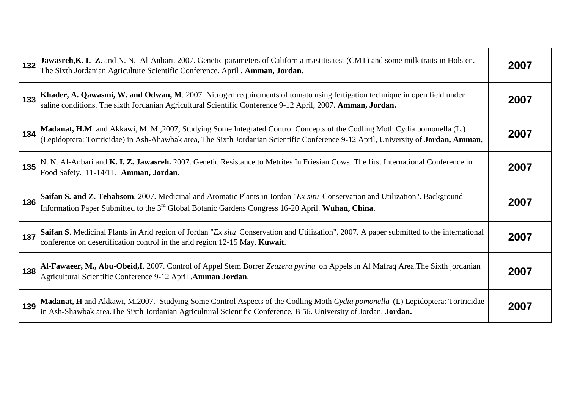| 132 | Jawasreh, K. I. Z. and N. N. Al-Anbari. 2007. Genetic parameters of California mastitis test (CMT) and some milk traits in Holsten.<br>The Sixth Jordanian Agriculture Scientific Conference. April . Amman, Jordan.                         | 2007 |
|-----|----------------------------------------------------------------------------------------------------------------------------------------------------------------------------------------------------------------------------------------------|------|
| 133 | Khader, A. Qawasmi, W. and Odwan, M. 2007. Nitrogen requirements of tomato using fertigation technique in open field under<br>saline conditions. The sixth Jordanian Agricultural Scientific Conference 9-12 April, 2007. Amman, Jordan.     | 2007 |
| 134 | Madanat, H.M. and Akkawi, M. M., 2007, Studying Some Integrated Control Concepts of the Codling Moth Cydia pomonella (L.)<br>(Lepidoptera: Tortricidae) in Ash-Ahawbak area, The Sixth Jordanian Scientific Conference 9-12 April            | 2007 |
| 135 | N. N. Al-Anbari and K. I. Z. Jawasreh. 2007. Genetic Resistance to Metrites In Friesian Cows. The first International Conference in<br>Food Safety. 11-14/11. Amman, Jordan.                                                                 | 2007 |
| 136 | Saifan S. and Z. Tehabsom. 2007. Medicinal and Aromatic Plants in Jordan "Ex situ Conservation and Utilization". Background<br>Information Paper Submitted to the 3 <sup>rd</sup> Global Botanic Gardens Congress 16-20 April. Wuhan, China. | 2007 |
| 137 | Saifan S. Medicinal Plants in Arid region of Jordan "Ex situ Conservation and Utilization". 2007. A paper submitted to the international<br>conference on desertification control in the arid region 12-15 May. Kuwait.                      | 2007 |
| 138 | Al-Fawaeer, M., Abu-Obeid, I. 2007. Control of Appel Stem Borrer Zeuzera pyrina on Appels in Al Mafraq Area. The Sixth jordanian<br>Agricultural Scientific Conference 9-12 April .Amman Jordan.                                             | 2007 |
| 139 | Madanat, H and Akkawi, M.2007. Studying Some Control Aspects of the Codling Moth Cydia pomonella (L) Lepidoptera: Tortricidae in Ash-Shawbak area. The Sixth Jordanian Agricultural Scientific Conference, B 56. University of               | 2007 |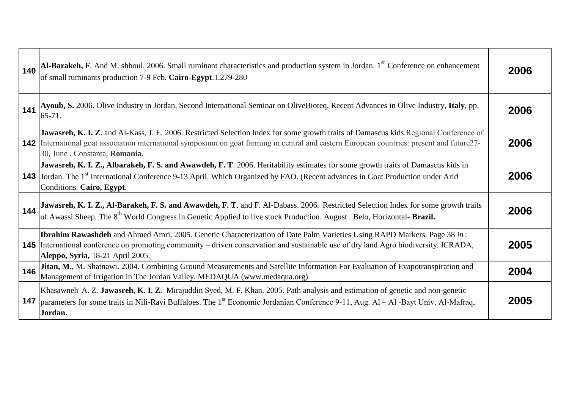| 140 | Al-Barakeh, F. And M. shboul. 2006. Small ruminant characteristics and production system in Jordan. 1 <sup>st</sup> Conference on enhancement<br>of small ruminants production 7-9 Feb. Cairo-Egypt.1.279-280                                                                                                           | 2006 |
|-----|-------------------------------------------------------------------------------------------------------------------------------------------------------------------------------------------------------------------------------------------------------------------------------------------------------------------------|------|
| 141 | Ayoub, S. 2006. Olive Industry in Jordan, Second International Seminar on OliveBioteq, Recent Advances in Olive Industry, Italy, pp.<br>$65 - 71.$                                                                                                                                                                      | 2006 |
|     | Jawasreh, K. I. Z. and Al-Kass, J. E. 2006. Restricted Selection Index for some growth traits of Damascus kids. Regional Conference of<br>142 International goat association international symposium on goat farming in central and eastern European countries: present and future27-<br>30, June . Constanta, Romania. | 2006 |
|     | Jawasreh, K. I. Z., Albarakeh, F. S. and Awawdeh, F. T. 2006. Heritability estimates for some growth traits of Damascus kids in<br><b>143</b> Jordan. The 1 <sup>st</sup> International Conference 9-13 April. Which Organized by FAO. (Recent advances in Goat Production under Arid<br>Conditions. Cairo, Egypt.      | 2006 |
| 144 | Jawasreh, K. I. Z., Al-Barakeh, F. S. and Awawdeh, F. T. and F. Al-Dabass. 2006. Restricted Selection Index for some growth traits of Awassi Sheep. The 8 <sup>th</sup> World Congress in Genetic Applied to live stock Production. Augu                                                                                | 2006 |
|     | Ibrahim Rawashdeh and Ahmed Amri. 2005. Genetic Characterization of Date Palm Varieties Using RAPD Markers. Page 38 in:<br><b>145</b> International conference on promoting community – driven conservation and sustainable use of dry land Agro biodiversity. ICRADA,<br>Aleppo, Syria, 18-21 April 2005.              | 2005 |
| 146 | Jitan, M., M. Shatnawi. 2004. Combining Ground Measurements and Satellite Information For Evaluation of Evapotranspiration and<br>Management of Irrigation in The Jordan Valley. MEDAQUA (www.medaqua.org)                                                                                                              | 2004 |
| 147 | Khasawneh A. Z. Jawasreh, K. I. Z. Mirajuddin Syed, M. F. Khan. 2005. Path analysis and estimation of genetic and non-genetic<br>parameters for some traits in Nili-Ravi Buffaloes. The 1 <sup>st</sup> Economic Jordanian Conference 9-11, Aug. Al - Al -Bayt Univ. Al-Mafraq,<br>Jordan.                              | 2005 |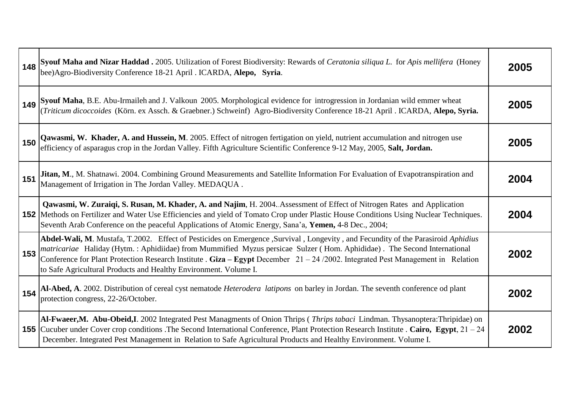| 148 | Syouf Maha and Nizar Haddad . 2005. Utilization of Forest Biodiversity: Rewards of Ceratonia siliqua L. for Apis mellifera (Honey bee) Agro-Biodiversity Conference 18-21 April . ICARDA, Alepo, Syria.                                                                                                                                                                                                                                                                 | 2005 |
|-----|-------------------------------------------------------------------------------------------------------------------------------------------------------------------------------------------------------------------------------------------------------------------------------------------------------------------------------------------------------------------------------------------------------------------------------------------------------------------------|------|
|     | 149 Syouf Maha, B.E. Abu-Irmaileh and J. Valkoun 2005. Morphological evidence for introgression in Jordanian wild emmer wheat (Triticum dicoccoides (Körn. ex Assch. & Graebner.) Schweinf) Agro-Biodiversity Conference 18-21                                                                                                                                                                                                                                          | 2005 |
| 150 | Qawasmi, W. Khader, A. and Hussein, M. 2005. Effect of nitrogen fertigation on yield, nutrient accumulation and nitrogen use efficiency of asparagus crop in the Jordan Valley. Fifth Agriculture Scientific Conference 9-12 M                                                                                                                                                                                                                                          | 2005 |
| 151 | Jitan, M., M. Shatnawi. 2004. Combining Ground Measurements and Satellite Information For Evaluation of Evapotranspiration and<br>Management of Irrigation in The Jordan Valley. MEDAQUA.                                                                                                                                                                                                                                                                               | 2004 |
|     | Qawasmi, W. Zuraiqi, S. Rusan, M. Khader, A. and Najim, H. 2004. Assessment of Effect of Nitrogen Rates and Application<br><b>152</b> Methods on Fertilizer and Water Use Efficiencies and yield of Tomato Crop under Plastic House Conditions Using Nuclear Techniques.<br>Seventh Arab Conference on the peaceful Applications of Atomic Energy, Sana'a, Yemen, 4-8 Dec., 2004;                                                                                       | 2004 |
| 153 | Abdel-Wali, M. Mustafa, T.2002. Effect of Pesticides on Emergence ,Survival , Longevity , and Fecundity of the Parasiroid Aphidius<br>matricariae Haliday (Hytm.: Aphidiidae) from Mummified Myzus persicae Sulzer (Hom. Aphididae). The Second International<br>Conference for Plant Protection Research Institute . Giza – Egypt December $21 - 24/2002$ . Integrated Pest Management in Relation<br>to Safe Agricultural Products and Healthy Environment. Volume I. | 2002 |
| 154 | Al-Abed, A. 2002. Distribution of cereal cyst nematode Heterodera latipons on barley in Jordan. The seventh conference od plant<br>protection congress, 22-26/October.                                                                                                                                                                                                                                                                                                  | 2002 |
|     | Al-Fwaeer,M. Abu-Obeid,I. 2002 Integrated Pest Managments of Onion Thrips (Thrips tabaci Lindman. Thysanoptera:Thripidae) on<br><b>155</b> Cucuber under Cover crop conditions . The Second International Conference, Plant Protection Research Institute . Cairo, Egypt, $21 - 24$<br>December. Integrated Pest Management in Relation to Safe Agricultural Products and Healthy Environment. Volume I.                                                                | 2002 |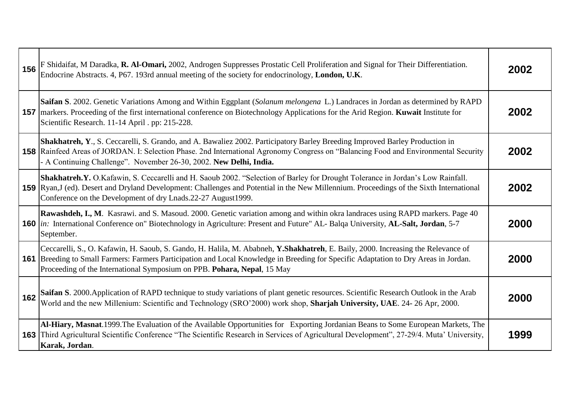| 156 | F Shidaifat, M Daradka, R. Al-Omari, 2002, Androgen Suppresses Prostatic Cell Proliferation and Signal for Their Differentiation.<br>Endocrine Abstracts. 4, P67. 193rd annual meeting of the society for endocrinology, London, U.K.                                                                                                                       | 2002 |
|-----|-------------------------------------------------------------------------------------------------------------------------------------------------------------------------------------------------------------------------------------------------------------------------------------------------------------------------------------------------------------|------|
|     | Saifan S. 2002. Genetic Variations Among and Within Eggplant (Solanum melongena L.) Landraces in Jordan as determined by RAPD<br>157 markers. Proceeding of the first international conference on Biotechnology Applications for the Arid Region. Kuwait Institute for<br>Scientific Research. 11-14 April . pp: 215-228.                                   | 2002 |
|     | Shakhatreh, Y., S. Ceccarelli, S. Grando, and A. Bawaliez 2002. Participatory Barley Breeding Improved Barley Production in<br><b>158</b> Rainfeed Areas of JORDAN. I: Selection Phase. 2nd International Agronomy Congress on "Balancing Food and Environmental Security<br>- A Continuing Challenge". November 26-30, 2002. New Delhi, India.             | 2002 |
|     | Shakhatreh.Y. O.Kafawin, S. Ceccarelli and H. Saoub 2002. "Selection of Barley for Drought Tolerance in Jordan's Low Rainfall.<br><b>159</b> Ryan, J (ed). Desert and Dryland Development: Challenges and Potential in the New Millennium. Proceedings of the Sixth International<br>Conference on the Development of dry Lnads.22-27 August1999.           | 2002 |
|     | Rawashdeh, I., M. Kasrawi. and S. Masoud. 2000. Genetic variation among and within okra landraces using RAPD markers. Page 40<br>160 <i>in</i> : International Conference on" Biotechnology in Agriculture: Present and Future" AL- Balqa University, AL-Salt, Jordan, 5-7<br>September.                                                                    | 2000 |
|     | Ceccarelli, S., O. Kafawin, H. Saoub, S. Gando, H. Halila, M. Ababneh, Y. Shakhatreh, E. Baily, 2000. Increasing the Relevance of<br><b>161</b> Breeding to Small Farmers: Farmers Participation and Local Knowledge in Breeding for Specific Adaptation to Dry Areas in Jordan.<br>Proceeding of the International Symposium on PPB. Pohara, Nepal, 15 May | 2000 |
| 162 | Saifan S. 2000. Application of RAPD technique to study variations of plant genetic resources. Scientific Research Outlook in the Arab<br>World and the new Millenium: Scientific and Technology (SRO'2000) work shop, Sharjah University, UAE. 24-26 Apr, 2000.                                                                                             | 2000 |
|     | Al-Hiary, Masnat.1999. The Evaluation of the Available Opportunities for Exporting Jordanian Beans to Some European Markets, The<br><b>163</b> Third Agricultural Scientific Conference "The Scientific Research in Services of Agricultural Development", 27-29/4. Muta' University,<br>Karak, Jordan.                                                     | 1999 |